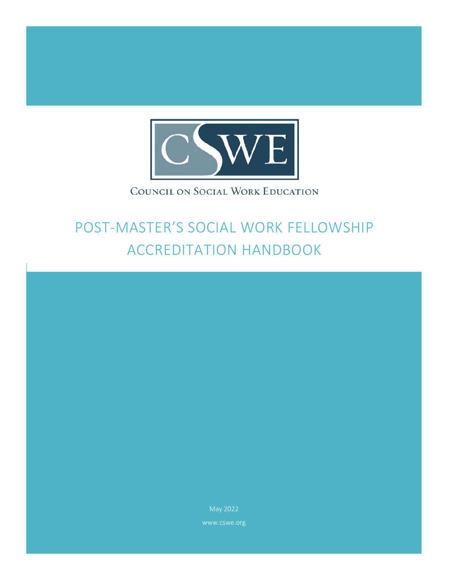

# COUNCIL ON SOCIAL WORK EDUCATION

# POST-MASTER'S SOCIAL WORK FELLOWSHIP ACCREDITATION HANDBOOK

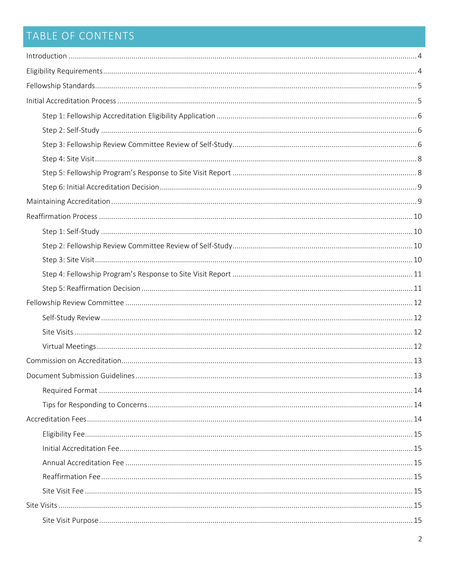# TABLE OF CONTENTS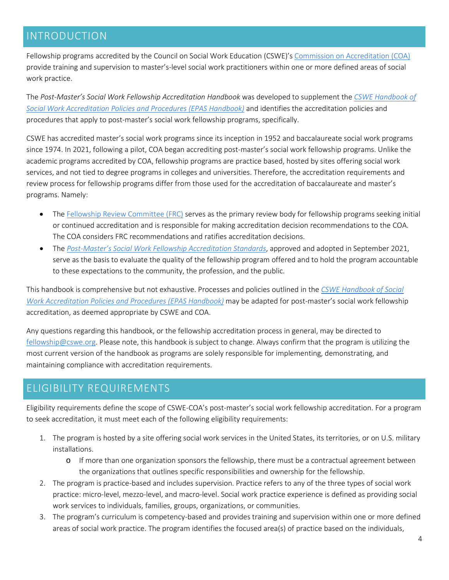### <span id="page-3-0"></span>INTRODUCTION

Fellowship programs accredited by the Council on Social Work Education (CSWE)'[s Commission on Accreditation \(COA\)](https://www.cswe.org/About-CSWE/Governance/Commissions-and-Councils/Commission-on-Accreditation.aspx) provide training and supervision to master's-level social work practitioners within one or more defined areas of social work practice.

The *Post-Master's Social Work Fellowship Accreditation Handbook* was developed to supplement the *[CSWE Handbook of](https://www.cswe.org/accreditation/standards/epas-handbook/)  [Social Work Accreditation Policies and Procedures](https://www.cswe.org/accreditation/standards/epas-handbook/) (EPAS Handbook)* and identifies the accreditation policies and procedures that apply to post-master's social work fellowship programs, specifically.

CSWE has accredited master's social work programs since its inception in 1952 and baccalaureate social work programs since 1974. In 2021, following a pilot, COA began accrediting post-master's social work fellowship programs. Unlike the academic programs accredited by COA, fellowship programs are practice based, hosted by sites offering social work services, and not tied to degree programs in colleges and universities. Therefore, the accreditation requirements and review process for fellowship programs differ from those used for the accreditation of baccalaureate and master's programs. Namely:

- The [Fellowship Review Committee \(FRC\)](#page-9-4) serves as the primary review body for fellowship programs seeking initial or continued accreditation and is responsible for making accreditation decision recommendations to the COA. The COA considers FRC recommendations and ratifies accreditation decisions.
- The *[Post-Master's Social Work Fellowship Accreditation Standards](https://www.cswe.org/accreditation/post-master-s-social-work-fellowship-accreditation-180760e5e7cfc1166d9603bd07104639/)*, approved and adopted in September 2021, serve as the basis to evaluate the quality of the fellowship program offered and to hold the program accountable to these expectations to the community, the profession, and the public.

This handbook is comprehensive but not exhaustive. Processes and policies outlined in the *[CSWE Handbook of Social](https://www.cswe.org/accreditation/standards/epas-handbook/)  [Work Accreditation Policies and Procedures](https://www.cswe.org/accreditation/standards/epas-handbook/) (EPAS Handbook)* may be adapted for post-master's social work fellowship accreditation, as deemed appropriate by CSWE and COA.

Any questions regarding this handbook, or the fellowship accreditation process in general, may be directed to [fellowship@cswe.org.](mailto:fellowship@cswe.org) Please note, this handbook is subject to change. Always confirm that the program is utilizing the most current version of the handbook as programs are solely responsible for implementing, demonstrating, and maintaining compliance with accreditation requirements.

### <span id="page-3-1"></span>ELIGIBILITY REQUIREMENTS

Eligibility requirements define the scope of CSWE-COA's post-master's social work fellowship accreditation. For a program to seek accreditation, it must meet each of the following eligibility requirements:

- 1. The program is hosted by a site offering social work services in the United States, its territories, or on U.S. military installations.
	- o If more than one organization sponsors the fellowship, there must be a contractual agreement between the organizations that outlines specific responsibilities and ownership for the fellowship.
- 2. The program is practice-based and includes supervision. Practice refers to any of the three types of social work practice: micro-level, mezzo-level, and macro-level. Social work practice experience is defined as providing social work services to individuals, families, groups, organizations, or communities.
- 3. The program's curriculum is competency-based and provides training and supervision within one or more defined areas of social work practice. The program identifies the focused area(s) of practice based on the individuals,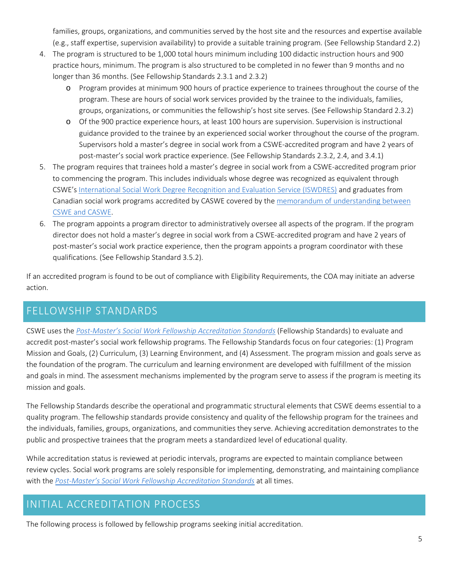families, groups, organizations, and communities served by the host site and the resources and expertise available (e.g., staff expertise, supervision availability) to provide a suitable training program. (See Fellowship Standard 2.2)

- 4. The program is structured to be 1,000 total hours minimum including 100 didactic instruction hours and 900 practice hours, minimum. The program is also structured to be completed in no fewer than 9 months and no longer than 36 months. (See Fellowship Standards 2.3.1 and 2.3.2)
	- o Program provides at minimum 900 hours of practice experience to trainees throughout the course of the program. These are hours of social work services provided by the trainee to the individuals, families, groups, organizations, or communities the fellowship's host site serves. (See Fellowship Standard 2.3.2)
	- o Of the 900 practice experience hours, at least 100 hours are supervision. Supervision is instructional guidance provided to the trainee by an experienced social worker throughout the course of the program. Supervisors hold a master's degree in social work from a CSWE-accredited program and have 2 years of post-master's social work practice experience. (See Fellowship Standards 2.3.2, 2.4, and 3.4.1)
- 5. The program requires that trainees hold a master's degree in social work from a CSWE-accredited program prior to commencing the program. This includes individuals whose degree was recognized as equivalent through CSWE's [International Social Work Degree Recognition and Evaluation Service \(ISWDRES\)](https://www.cswe.org/centers-initiatives/international-degree-review/) and graduates from Canadian social work programs accredited by CASWE covered by the [memorandum of understanding between](https://www.cswe.org/getmedia/95e13933-1b9c-4f75-8f70-484f38ed4cc6/CASWE-MOU.pdf)  [CSWE and CASWE.](https://www.cswe.org/getmedia/95e13933-1b9c-4f75-8f70-484f38ed4cc6/CASWE-MOU.pdf)
- 6. The program appoints a program director to administratively oversee all aspects of the program. If the program director does not hold a master's degree in social work from a CSWE-accredited program and have 2 years of post-master's social work practice experience, then the program appoints a program coordinator with these qualifications. (See Fellowship Standard 3.5.2).

If an accredited program is found to be out of compliance with Eligibility Requirements, the COA may initiate an adverse action.

### <span id="page-4-0"></span>FELLOWSHIP STANDARDS

CSWE uses the *[Post-Master's Social Work Fellowship Accreditation Standards](https://www.cswe.org/accreditation/post-master-s-social-work-fellowship-accreditation-180760e5e7cfc1166d9603bd07104639/)* (Fellowship Standards) to evaluate and accredit post-master's social work fellowship programs. The Fellowship Standards focus on four categories: (1) Program Mission and Goals, (2) Curriculum, (3) Learning Environment, and (4) Assessment. The program mission and goals serve as the foundation of the program. The curriculum and learning environment are developed with fulfillment of the mission and goals in mind. The assessment mechanisms implemented by the program serve to assess if the program is meeting its mission and goals.

The Fellowship Standards describe the operational and programmatic structural elements that CSWE deems essential to a quality program. The fellowship standards provide consistency and quality of the fellowship program for the trainees and the individuals, families, groups, organizations, and communities they serve. Achieving accreditation demonstrates to the public and prospective trainees that the program meets a standardized level of educational quality.

While accreditation status is reviewed at periodic intervals, programs are expected to maintain compliance between review cycles. Social work programs are solely responsible for implementing, demonstrating, and maintaining compliance with the *[Post-Master's Social Work Fellowship Accreditation Standards](https://www.cswe.org/accreditation/post-master-s-social-work-fellowship-accreditation-180760e5e7cfc1166d9603bd07104639/)* at all times.

# <span id="page-4-1"></span>INITIAL ACCREDITATION PROCESS

The following process is followed by fellowship programs seeking initial accreditation.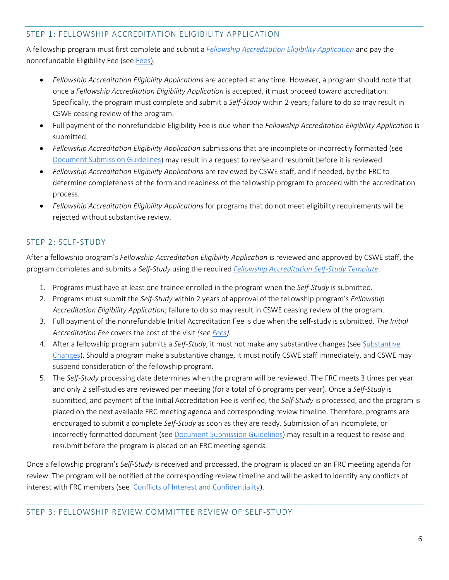#### <span id="page-5-0"></span>STEP 1: FELLOWSHIP ACCREDITATION ELIGIBILITY APPLICATION

A fellowship program must first complete and submit a *[Fellowship Accreditation Eligibility Application](https://www.cswe.org/accreditation/post-master-s-social-work-fellowship-accreditation-180760e5e7cfc1166d9603bd07104639/)* and pay the nonrefundable Eligibility Fee (see [Fees\)](#page-13-2).

- *Fellowship Accreditation Eligibility Applications* are accepted at any time. However, a program should note that once a *Fellowship Accreditation Eligibility Application* is accepted, it must proceed toward accreditation. Specifically, the program must complete and submit a *Self-Study* within 2 years; failure to do so may result in CSWE ceasing review of the program.
- Full payment of the nonrefundable Eligibility Fee is due when the *Fellowship Accreditation Eligibility Application* is submitted.
- *Fellowship Accreditation Eligibility Application* submissions that are incomplete or incorrectly formatted (see [Document Submission Guidelines\)](#page-12-1) may result in a request to revise and resubmit before it is reviewed.
- *Fellowship Accreditation Eligibility Applications* are reviewed by CSWE staff, and if needed, by the FRC to determine completeness of the form and readiness of the fellowship program to proceed with the accreditation process.
- *Fellowship Accreditation Eligibility Applications* for programs that do not meet eligibility requirements will be rejected without substantive review.

#### <span id="page-5-1"></span>STEP 2: SELF-STUDY

After a fellowship program's *Fellowship Accreditation Eligibility Application* is reviewed and approved by CSWE staff, the program completes and submits a *Self-Study* using the required *[Fellowship Accreditation Self-Study Template](https://www.cswe.org/accreditation/post-master-s-social-work-fellowship-accreditation-180760e5e7cfc1166d9603bd07104639/)*.

- 1. Programs must have at least one trainee enrolled in the program when the *Self-Study* is submitted.
- 2. Programs must submit the *Self-Study* within 2 years of approval of the fellowship program's *Fellowship Accreditation Eligibility Application*; failure to do so may result in CSWE ceasing review of the program.
- 3. Full payment of the nonrefundable Initial Accreditation Fee is due when the self-study is submitted. *The Initial Accreditation Fee* covers the cost of the visit *(se[e Fees\)](#page-13-2).*
- 4. After a fellowship program submits a *Self-Study*, it must not make any substantive changes (se[e Substantive](#page-16-2)  [Changes\)](#page-16-2). Should a program make a substantive change, it must notify CSWE staff immediately, and CSWE may suspend consideration of the fellowship program.
- 5. The *Self-Study* processing date determines when the program will be reviewed. The FRC meets 3 times per year and only 2 self-studies are reviewed per meeting (for a total of 6 programs per year). Once a *Self-Study* is submitted, and payment of the Initial Accreditation Fee is verified, the *Self-Study* is processed, and the program is placed on the next available FRC meeting agenda and corresponding review timeline. Therefore, programs are encouraged to submit a complete *Self-Study* as soon as they are ready. Submission of an incomplete, or incorrectly formatted document (see [Document Submission Guidelines\)](#page-12-1) may result in a request to revise and resubmit before the program is placed on an FRC meeting agenda.

<span id="page-5-2"></span>Once a fellowship program's *Self-Study* is received and processed, the program is placed on an FRC meeting agenda for review. The program will be notified of the corresponding review timeline and will be asked to identify any conflicts of interest with FRC members (see [Conflicts of Interest and Confidentiality\)](#page-17-0).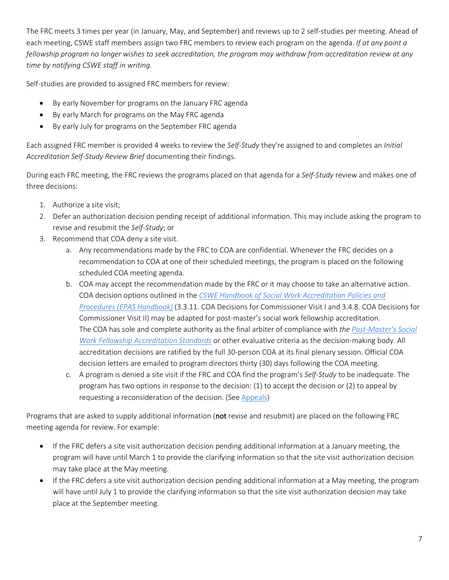The FRC meets 3 times per year (in January, May, and September) and reviews up to 2 self-studies per meeting. Ahead of each meeting, CSWE staff members assign two FRC members to review each program on the agenda. *If at any point a fellowship program no longer wishes to seek accreditation, the program may withdraw from accreditation review at any time by notifying CSWE staff in writing.*

Self-studies are provided to assigned FRC members for review:

- By early November for programs on the January FRC agenda
- By early March for programs on the May FRC agenda
- By early July for programs on the September FRC agenda

Each assigned FRC member is provided 4 weeks to review the *Self-Study* they're assigned to and completes an *Initial Accreditation Self-Study Review Brief* documenting their findings.

During each FRC meeting, the FRC reviews the programs placed on that agenda for a *Self-Study* review and makes one of three decisions:

- 1. Authorize a site visit;
- 2. Defer an authorization decision pending receipt of additional information. This may include asking the program to revise and resubmit the *Self-Study*; or
- 3. Recommend that COA deny a site visit.
	- a. Any recommendations made by the FRC to COA are confidential. Whenever the FRC decides on a recommendation to COA at one of their scheduled meetings, the program is placed on the following scheduled COA meeting agenda.
	- b. COA may accept the recommendation made by the FRC or it may choose to take an alternative action. COA decision options outlined in the *[CSWE Handbook of Social Work Accreditation Policies and](https://www.cswe.org/accreditation/standards/epas-handbook/)  [Procedures](https://www.cswe.org/accreditation/standards/epas-handbook/) (EPAS Handbook)* (3.3.11. COA Decisions for Commissioner Visit I and 3.4.8. COA Decisions for Commissioner Visit II) may be adapted for post-master's social work fellowship accreditation. The COA has sole and complete authority as the final arbiter of compliance with *the [Post-Master's Social](https://www.cswe.org/accreditation/post-master-s-social-work-fellowship-accreditation-180760e5e7cfc1166d9603bd07104639/)  [Work Fellowship Accreditation Standards](https://www.cswe.org/accreditation/post-master-s-social-work-fellowship-accreditation-180760e5e7cfc1166d9603bd07104639/)* or other evaluative criteria as the decision-making body. All accreditation decisions are ratified by the full 30-person COA at its final plenary session. Official COA decision letters are emailed to program directors thirty (30) days following the COA meeting.
	- c. A program is denied a site visit if the FRC and COA find the program's *Self-Study* to be inadequate. The program has two options in response to the decision: (1) to accept the decision or (2) to appeal by requesting a reconsideration of the decision. (See [Appeals\)](#page-18-1)

Programs that are asked to supply additional information (not revise and resubmit) are placed on the following FRC meeting agenda for review. For example:

- If the FRC defers a site visit authorization decision pending additional information at a January meeting, the program will have until March 1 to provide the clarifying information so that the site visit authorization decision may take place at the May meeting.
- If the FRC defers a site visit authorization decision pending additional information at a May meeting, the program will have until July 1 to provide the clarifying information so that the site visit authorization decision may take place at the September meeting.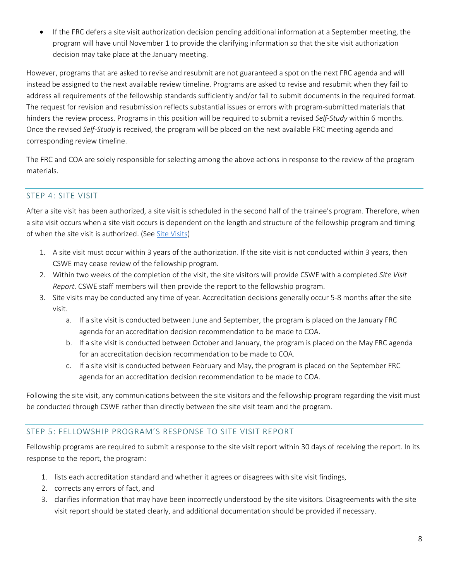If the FRC defers a site visit authorization decision pending additional information at a September meeting, the program will have until November 1 to provide the clarifying information so that the site visit authorization decision may take place at the January meeting.

However, programs that are asked to revise and resubmit are not guaranteed a spot on the next FRC agenda and will instead be assigned to the next available review timeline. Programs are asked to revise and resubmit when they fail to address all requirements of the fellowship standards sufficiently and/or fail to submit documents in the required format. The request for revision and resubmission reflects substantial issues or errors with program-submitted materials that hinders the review process. Programs in this position will be required to submit a revised *Self-Study* within 6 months. Once the revised *Self-Study* is received, the program will be placed on the next available FRC meeting agenda and corresponding review timeline.

The FRC and COA are solely responsible for selecting among the above actions in response to the review of the program materials.

#### <span id="page-7-0"></span>STEP 4: SITE VISIT

After a site visit has been authorized, a site visit is scheduled in the second half of the trainee's program. Therefore, when a site visit occurs when a site visit occurs is dependent on the length and structure of the fellowship program and timing of when the site visit is authorized. (Se[e Site Visits\)](#page-14-5)

- 1. A site visit must occur within 3 years of the authorization. If the site visit is not conducted within 3 years, then CSWE may cease review of the fellowship program.
- 2. Within two weeks of the completion of the visit, the site visitors will provide CSWE with a completed *Site Visit Report*. CSWE staff members will then provide the report to the fellowship program.
- 3. Site visits may be conducted any time of year. Accreditation decisions generally occur 5-8 months after the site visit.
	- a. If a site visit is conducted between June and September, the program is placed on the January FRC agenda for an accreditation decision recommendation to be made to COA.
	- b. If a site visit is conducted between October and January, the program is placed on the May FRC agenda for an accreditation decision recommendation to be made to COA.
	- c. If a site visit is conducted between February and May, the program is placed on the September FRC agenda for an accreditation decision recommendation to be made to COA.

Following the site visit, any communications between the site visitors and the fellowship program regarding the visit must be conducted through CSWE rather than directly between the site visit team and the program.

#### <span id="page-7-1"></span>STEP 5: FELLOWSHIP PROGRAM'S RESPONSE TO SITE VISIT REPORT

Fellowship programs are required to submit a response to the site visit report within 30 days of receiving the report. In its response to the report, the program:

- 1. lists each accreditation standard and whether it agrees or disagrees with site visit findings,
- 2. corrects any errors of fact, and
- 3. clarifies information that may have been incorrectly understood by the site visitors. Disagreements with the site visit report should be stated clearly, and additional documentation should be provided if necessary.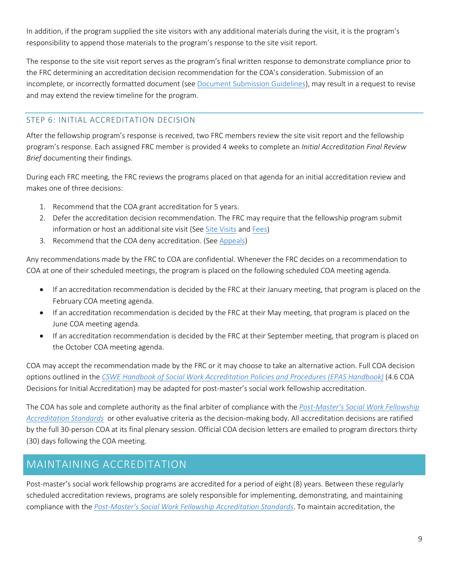In addition, if the program supplied the site visitors with any additional materials during the visit, it is the program's responsibility to append those materials to the program's response to the site visit report.

The response to the site visit report serves as the program's final written response to demonstrate compliance prior to the FRC determining an accreditation decision recommendation for the COA's consideration. Submission of an incomplete, or incorrectly formatted document (see [Document Submission Guidelines\)](#page-12-1), may result in a request to revise and may extend the review timeline for the program.

#### <span id="page-8-0"></span>STEP 6: INITIAL ACCREDITATION DECISION

After the fellowship program's response is received, two FRC members review the site visit report and the fellowship program's response. Each assigned FRC member is provided 4 weeks to complete an *Initial Accreditation Final Review Brief* documenting their findings.

During each FRC meeting, the FRC reviews the programs placed on that agenda for an initial accreditation review and makes one of three decisions:

- 1. Recommend that the COA grant accreditation for 5 years.
- 2. Defer the accreditation decision recommendation. The FRC may require that the fellowship program submit information or host an additional site visit (Se[e Site Visits](#page-14-5) and [Fees\)](#page-13-2)
- 3. Recommend that the COA deny accreditation. (See [Appeals\)](#page-18-1)

Any recommendations made by the FRC to COA are confidential. Whenever the FRC decides on a recommendation to COA at one of their scheduled meetings, the program is placed on the following scheduled COA meeting agenda.

- If an accreditation recommendation is decided by the FRC at their January meeting, that program is placed on the February COA meeting agenda.
- If an accreditation recommendation is decided by the FRC at their May meeting, that program is placed on the June COA meeting agenda.
- If an accreditation recommendation is decided by the FRC at their September meeting, that program is placed on the October COA meeting agenda.

COA may accept the recommendation made by the FRC or it may choose to take an alternative action. Full COA decision options outlined in the *[CSWE Handbook of Social Work Accreditation Policies and Procedures](https://www.cswe.org/accreditation/standards/epas-handbook/) (EPAS Handbook)* (4.6 COA Decisions for Initial Accreditation) may be adapted for post-master's social work fellowship accreditation.

The COA has sole and complete authority as the final arbiter of compliance with the *[Post-Master's Social Work Fellowship](https://www.cswe.org/accreditation/post-master-s-social-work-fellowship-accreditation-180760e5e7cfc1166d9603bd07104639/)  [Accreditation Standards](https://www.cswe.org/accreditation/post-master-s-social-work-fellowship-accreditation-180760e5e7cfc1166d9603bd07104639/)* or other evaluative criteria as the decision-making body. All accreditation decisions are ratified by the full 30-person COA at its final plenary session. Official COA decision letters are emailed to program directors thirty (30) days following the COA meeting.

### <span id="page-8-1"></span>MAINTAINING ACCREDITATION

Post-master's social work fellowship programs are accredited for a period of eight (8) years. Between these regularly scheduled accreditation reviews, programs are solely responsible for implementing, demonstrating, and maintaining compliance with the *[Post-Master's Social Work Fellowship Accreditation Standards](https://www.cswe.org/accreditation/post-master-s-social-work-fellowship-accreditation-180760e5e7cfc1166d9603bd07104639/)*. To maintain accreditation, the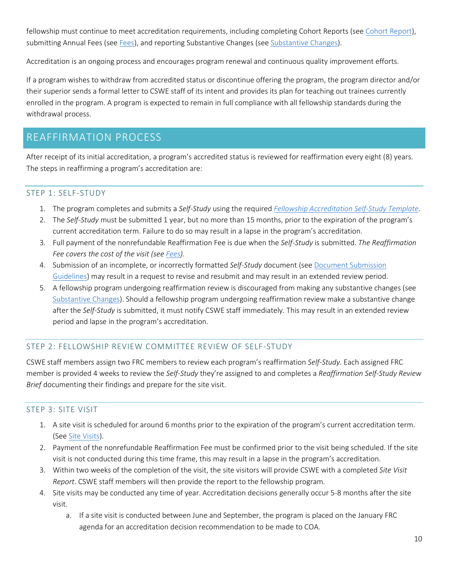fellowship must continue to meet accreditation requirements, including completing Cohort Reports (se[e Cohort](#page-16-1) Report), submitting Annual Fees (see [Fees\)](#page-13-2), and reporting Substantive Changes (see [Substantive Changes\)](#page-16-2).

Accreditation is an ongoing process and encourages program renewal and continuous quality improvement efforts.

If a program wishes to withdraw from accredited status or discontinue offering the program, the program director and/or their superior sends a formal letter to CSWE staff of its intent and provides its plan for teaching out trainees currently enrolled in the program. A program is expected to remain in full compliance with all fellowship standards during the withdrawal process.

### <span id="page-9-0"></span>REAFFIRMATION PROCESS

After receipt of its initial accreditation, a program's accredited status is reviewed for reaffirmation every eight (8) years. The steps in reaffirming a program's accreditation are:

#### <span id="page-9-4"></span><span id="page-9-1"></span>STEP 1: SELF-STUDY

- 1. The program completes and submits a *Self-Study* using the required *[Fellowship Accreditation Self-Study Template.](https://www.cswe.org/accreditation/post-master-s-social-work-fellowship-accreditation-180760e5e7cfc1166d9603bd07104639/)*
- 2. The *Self-Study* must be submitted 1 year, but no more than 15 months, prior to the expiration of the program's current accreditation term. Failure to do so may result in a lapse in the program's accreditation.
- 3. Full payment of the nonrefundable Reaffirmation Fee is due when the *Self-Study* is submitted. *The Reaffirmation Fee covers the cost of the visit (see [Fees\)](#page-13-2).*
- 4. Submission of an incomplete, or incorrectly formatted *Self-Study* document (se[e Document Submission](#page-12-1)  [Guidelines\)](#page-12-1) may result in a request to revise and resubmit and may result in an extended review period.
- 5. A fellowship program undergoing reaffirmation review is discouraged from making any substantive changes (see [Substantive Changes\)](#page-16-2). Should a fellowship program undergoing reaffirmation review make a substantive change after the *Self-Study* is submitted, it must notify CSWE staff immediately. This may result in an extended review period and lapse in the program's accreditation.

#### <span id="page-9-2"></span>STEP 2: FELLOWSHIP REVIEW COMMITTEE REVIEW OF SELF-STUDY

CSWE staff members assign two FRC members to review each program's reaffirmation *Self-Study*. Each assigned FRC member is provided 4 weeks to review the *Self-Study* they're assigned to and completes a *Reaffirmation Self-Study Review Brief* documenting their findings and prepare for the site visit.

#### <span id="page-9-3"></span>STEP 3: SITE VISIT

- 1. A site visit is scheduled for around 6 months prior to the expiration of the program's current accreditation term. (Se[e Site Visits\)](#page-14-5).
- 2. Payment of the nonrefundable Reaffirmation Fee must be confirmed prior to the visit being scheduled. If the site visit is not conducted during this time frame, this may result in a lapse in the program's accreditation.
- 3. Within two weeks of the completion of the visit, the site visitors will provide CSWE with a completed *Site Visit Report*. CSWE staff members will then provide the report to the fellowship program.
- 4. Site visits may be conducted any time of year. Accreditation decisions generally occur 5-8 months after the site visit.
	- a. If a site visit is conducted between June and September, the program is placed on the January FRC agenda for an accreditation decision recommendation to be made to COA.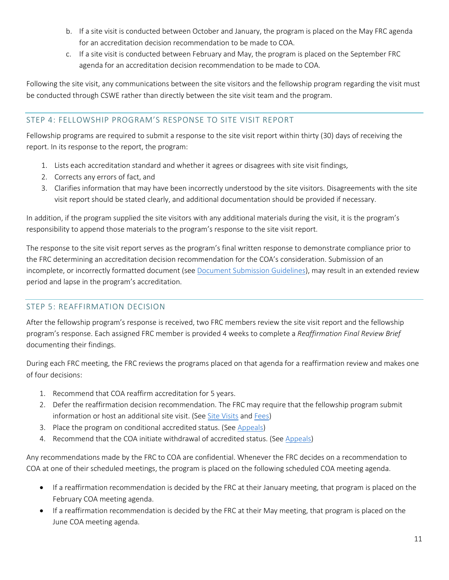- b. If a site visit is conducted between October and January, the program is placed on the May FRC agenda for an accreditation decision recommendation to be made to COA.
- c. If a site visit is conducted between February and May, the program is placed on the September FRC agenda for an accreditation decision recommendation to be made to COA.

Following the site visit, any communications between the site visitors and the fellowship program regarding the visit must be conducted through CSWE rather than directly between the site visit team and the program.

#### <span id="page-10-0"></span>STEP 4: FELLOWSHIP PROGRAM'S RESPONSE TO SITE VISIT REPORT

Fellowship programs are required to submit a response to the site visit report within thirty (30) days of receiving the report. In its response to the report, the program:

- 1. Lists each accreditation standard and whether it agrees or disagrees with site visit findings,
- 2. Corrects any errors of fact, and
- 3. Clarifies information that may have been incorrectly understood by the site visitors. Disagreements with the site visit report should be stated clearly, and additional documentation should be provided if necessary.

In addition, if the program supplied the site visitors with any additional materials during the visit, it is the program's responsibility to append those materials to the program's response to the site visit report.

The response to the site visit report serves as the program's final written response to demonstrate compliance prior to the FRC determining an accreditation decision recommendation for the COA's consideration. Submission of an incomplete, or incorrectly formatted document (see [Document Submission Guidelines\)](#page-12-1), may result in an extended review period and lapse in the program's accreditation.

#### <span id="page-10-1"></span>STEP 5: REAFFIRMATION DECISION

After the fellowship program's response is received, two FRC members review the site visit report and the fellowship program's response. Each assigned FRC member is provided 4 weeks to complete a *Reaffirmation Final Review Brief* documenting their findings.

During each FRC meeting, the FRC reviews the programs placed on that agenda for a reaffirmation review and makes one of four decisions:

- 1. Recommend that COA reaffirm accreditation for 5 years.
- 2. Defer the reaffirmation decision recommendation. The FRC may require that the fellowship program submit information or host an additional site visit. (See [Site Visits](#page-14-5) and [Fees\)](#page-13-2)
- 3. Place the program on conditional accredited status. (See [Appeals\)](#page-18-1)
- 4. Recommend that the COA initiate withdrawal of accredited status. (See [Appeals\)](#page-18-1)

Any recommendations made by the FRC to COA are confidential. Whenever the FRC decides on a recommendation to COA at one of their scheduled meetings, the program is placed on the following scheduled COA meeting agenda.

- If a reaffirmation recommendation is decided by the FRC at their January meeting, that program is placed on the February COA meeting agenda.
- If a reaffirmation recommendation is decided by the FRC at their May meeting, that program is placed on the June COA meeting agenda.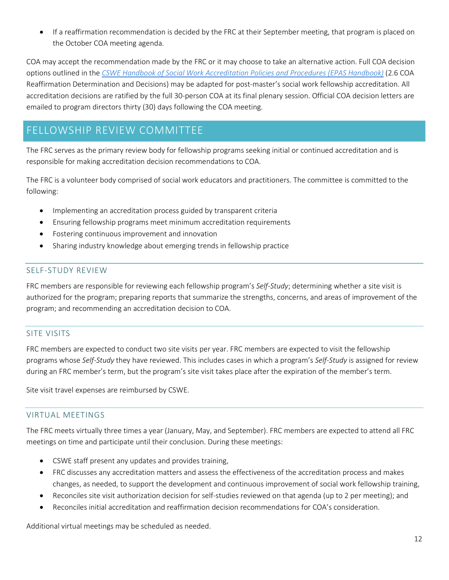• If a reaffirmation recommendation is decided by the FRC at their September meeting, that program is placed on the October COA meeting agenda.

COA may accept the recommendation made by the FRC or it may choose to take an alternative action. Full COA decision options outlined in the *[CSWE Handbook of Social Work Accreditation Policies and Procedures](https://www.cswe.org/accreditation/standards/epas-handbook/) (EPAS Handbook)* (2.6 COA Reaffirmation Determination and Decisions) may be adapted for post-master's social work fellowship accreditation. All accreditation decisions are ratified by the full 30-person COA at its final plenary session. Official COA decision letters are emailed to program directors thirty (30) days following the COA meeting.

# <span id="page-11-0"></span>FELLOWSHIP REVIEW COMMITTEE

The FRC serves as the primary review body for fellowship programs seeking initial or continued accreditation and is responsible for making accreditation decision recommendations to COA.

The FRC is a volunteer body comprised of social work educators and practitioners. The committee is committed to the following:

- Implementing an accreditation process guided by transparent criteria
- Ensuring fellowship programs meet minimum accreditation requirements
- Fostering continuous improvement and innovation
- Sharing industry knowledge about emerging trends in fellowship practice

#### <span id="page-11-1"></span>SELF-STUDY REVIEW

FRC members are responsible for reviewing each fellowship program's *Self-Study*; determining whether a site visit is authorized for the program; preparing reports that summarize the strengths, concerns, and areas of improvement of the program; and recommending an accreditation decision to COA.

#### <span id="page-11-2"></span>SITE VISITS

FRC members are expected to conduct two site visits per year. FRC members are expected to visit the fellowship programs whose *Self-Study* they have reviewed. This includes cases in which a program's *Self-Study* is assigned for review during an FRC member's term, but the program's site visit takes place after the expiration of the member's term.

Site visit travel expenses are reimbursed by CSWE.

#### <span id="page-11-3"></span>VIRTUAL MEETINGS

The FRC meets virtually three times a year (January, May, and September). FRC members are expected to attend all FRC meetings on time and participate until their conclusion. During these meetings:

- CSWE staff present any updates and provides training,
- FRC discusses any accreditation matters and assess the effectiveness of the accreditation process and makes changes, as needed, to support the development and continuous improvement of social work fellowship training,
- Reconciles site visit authorization decision for self-studies reviewed on that agenda (up to 2 per meeting); and
- Reconciles initial accreditation and reaffirmation decision recommendations for COA's consideration.

Additional virtual meetings may be scheduled as needed.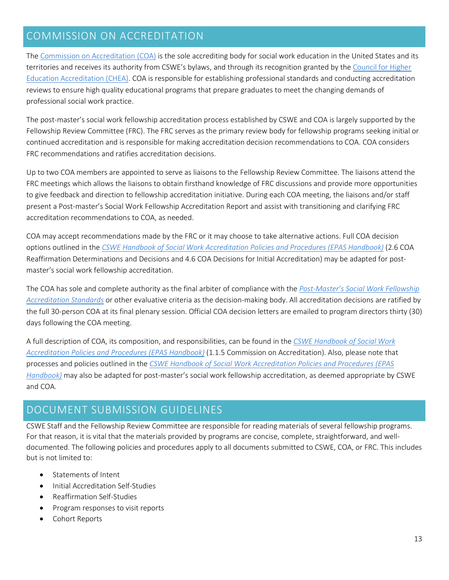## <span id="page-12-0"></span>COMMISSION ON ACCREDITATION

The [Commission on Accreditation \(COA\)](https://www.cswe.org/about-cswe/governance/commissions-and-councils/commission-on-accreditation/) is the sole accrediting body for social work education in the United States and its territories and receives its authority from CSWE's bylaws, and through its recognition granted by the [Council for Higher](https://www.chea.org/)  [Education Accreditation \(CHEA\).](https://www.chea.org/) COA is responsible for establishing professional standards and conducting accreditation reviews to ensure high quality educational programs that prepare graduates to meet the changing demands of professional social work practice.

The post-master's social work fellowship accreditation process established by CSWE and COA is largely supported by the Fellowship Review Committee (FRC). The FRC serves as the primary review body for fellowship programs seeking initial or continued accreditation and is responsible for making accreditation decision recommendations to COA. COA considers FRC recommendations and ratifies accreditation decisions.

Up to two COA members are appointed to serve as liaisons to the Fellowship Review Committee. The liaisons attend the FRC meetings which allows the liaisons to obtain firsthand knowledge of FRC discussions and provide more opportunities to give feedback and direction to fellowship accreditation initiative. During each COA meeting, the liaisons and/or staff present a Post-master's Social Work Fellowship Accreditation Report and assist with transitioning and clarifying FRC accreditation recommendations to COA, as needed.

COA may accept recommendations made by the FRC or it may choose to take alternative actions. Full COA decision options outlined in the *[CSWE Handbook of Social Work Accreditation Policies and Procedures](https://www.cswe.org/accreditation/standards/epas-handbook/) (EPAS Handbook)* (2.6 COA Reaffirmation Determinations and Decisions and 4.6 COA Decisions for Initial Accreditation) may be adapted for postmaster's social work fellowship accreditation.

The COA has sole and complete authority as the final arbiter of compliance with the *[Post-Master's Social Work Fellowship](https://www.cswe.org/accreditation/post-master-s-social-work-fellowship-accreditation-180760e5e7cfc1166d9603bd07104639/)  [Accreditation Standards](https://www.cswe.org/accreditation/post-master-s-social-work-fellowship-accreditation-180760e5e7cfc1166d9603bd07104639/)* or other evaluative criteria as the decision-making body. All accreditation decisions are ratified by the full 30-person COA at its final plenary session. Official COA decision letters are emailed to program directors thirty (30) days following the COA meeting.

A full description of COA, its composition, and responsibilities, can be found in the *[CSWE Handbook of Social Work](https://www.cswe.org/accreditation/standards/epas-handbook/)  [Accreditation Policies and Procedures](https://www.cswe.org/accreditation/standards/epas-handbook/) (EPAS Handbook)* (1.1.5 Commission on Accreditation). Also, please note that processes and policies outlined in the *[CSWE Handbook of Social Work Accreditation Policies and Procedures](https://www.cswe.org/accreditation/standards/epas-handbook/) (EPAS Handbook)* may also be adapted for post-master's social work fellowship accreditation, as deemed appropriate by CSWE and COA.

### <span id="page-12-1"></span>DOCUMENT SUBMISSION GUIDELINES

CSWE Staff and the Fellowship Review Committee are responsible for reading materials of several fellowship programs. For that reason, it is vital that the materials provided by programs are concise, complete, straightforward, and welldocumented. The following policies and procedures apply to all documents submitted to CSWE, COA, or FRC. This includes but is not limited to:

- Statements of Intent
- Initial Accreditation Self-Studies
- Reaffirmation Self-Studies
- Program responses to visit reports
- Cohort Reports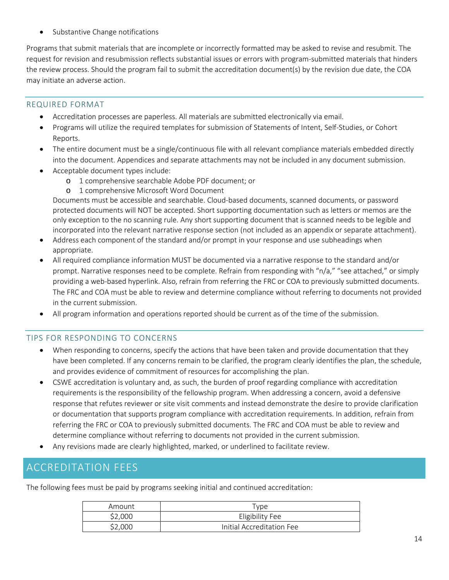Substantive Change notifications

Programs that submit materials that are incomplete or incorrectly formatted may be asked to revise and resubmit. The request for revision and resubmission reflects substantial issues or errors with program-submitted materials that hinders the review process. Should the program fail to submit the accreditation document(s) by the revision due date, the COA may initiate an adverse action.

#### <span id="page-13-0"></span>REQUIRED FORMAT

- Accreditation processes are paperless. All materials are submitted electronically via email.
- Programs will utilize the required templates for submission of Statements of Intent, Self-Studies, or Cohort Reports.
- The entire document must be a single/continuous file with all relevant compliance materials embedded directly into the document. Appendices and separate attachments may not be included in any document submission.
- Acceptable document types include:
	- o 1 comprehensive searchable Adobe PDF document; or
	- o 1 comprehensive Microsoft Word Document

Documents must be accessible and searchable. Cloud-based documents, scanned documents, or password protected documents will NOT be accepted. Short supporting documentation such as letters or memos are the only exception to the no scanning rule. Any short supporting document that is scanned needs to be legible and incorporated into the relevant narrative response section (not included as an appendix or separate attachment).

- Address each component of the standard and/or prompt in your response and use subheadings when appropriate.
- All required compliance information MUST be documented via a narrative response to the standard and/or prompt. Narrative responses need to be complete. Refrain from responding with "n/a," "see attached," or simply providing a web-based hyperlink. Also, refrain from referring the FRC or COA to previously submitted documents. The FRC and COA must be able to review and determine compliance without referring to documents not provided in the current submission.
- All program information and operations reported should be current as of the time of the submission.

#### <span id="page-13-1"></span>TIPS FOR RESPONDING TO CONCERNS

- When responding to concerns, specify the actions that have been taken and provide documentation that they have been completed. If any concerns remain to be clarified, the program clearly identifies the plan, the schedule, and provides evidence of commitment of resources for accomplishing the plan.
- CSWE accreditation is voluntary and, as such, the burden of proof regarding compliance with accreditation requirements is the responsibility of the fellowship program. When addressing a concern, avoid a defensive response that refutes reviewer or site visit comments and instead demonstrate the desire to provide clarification or documentation that supports program compliance with accreditation requirements. In addition, refrain from referring the FRC or COA to previously submitted documents. The FRC and COA must be able to review and determine compliance without referring to documents not provided in the current submission.
- Any revisions made are clearly highlighted, marked, or underlined to facilitate review.

### <span id="page-13-2"></span>ACCREDITATION FEES

The following fees must be paid by programs seeking initial and continued accreditation:

| Amount  | <u>I</u> ype              |
|---------|---------------------------|
| \$2,000 | Eligibility Fee           |
| \$2,000 | Initial Accreditation Fee |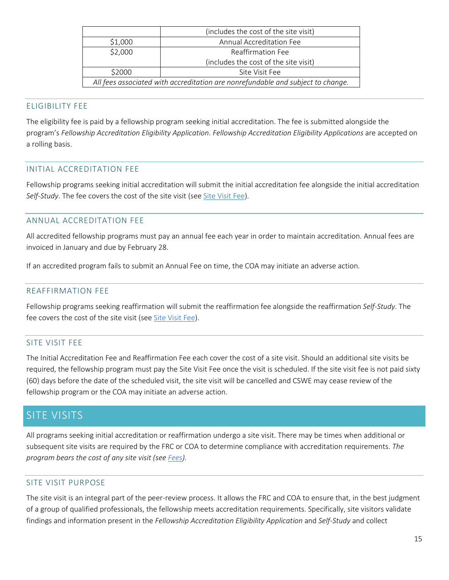|                                                                                 | (includes the cost of the site visit) |
|---------------------------------------------------------------------------------|---------------------------------------|
| \$1,000                                                                         | Annual Accreditation Fee              |
| \$2,000                                                                         | Reaffirmation Fee                     |
|                                                                                 | (includes the cost of the site visit) |
| \$2000                                                                          | Site Visit Fee                        |
| All fees associated with accreditation are nonrefundable and subject to change. |                                       |

#### <span id="page-14-0"></span>ELIGIBILITY FEE

The eligibility fee is paid by a fellowship program seeking initial accreditation. The fee is submitted alongside the program's *Fellowship Accreditation Eligibility Application*. *Fellowship Accreditation Eligibility Applications* are accepted on a rolling basis.

#### <span id="page-14-1"></span>INITIAL ACCREDITATION FEE

Fellowship programs seeking initial accreditation will submit the initial accreditation fee alongside the initial accreditation *Self-Study*. The fee covers the cost of the site visit (se[e Site Visit Fee\)](#page-14-4).

#### <span id="page-14-2"></span>ANNUAL ACCREDITATION FEE

All accredited fellowship programs must pay an annual fee each year in order to maintain accreditation. Annual fees are invoiced in January and due by February 28.

If an accredited program fails to submit an Annual Fee on time, the COA may initiate an adverse action.

#### <span id="page-14-3"></span>REAFFIRMATION FEE

Fellowship programs seeking reaffirmation will submit the reaffirmation fee alongside the reaffirmation *Self-Study*. The fee covers the cost of the site visit (see [Site Visit Fee\)](#page-14-4).

#### <span id="page-14-4"></span>SITE VISIT FEE

The Initial Accreditation Fee and Reaffirmation Fee each cover the cost of a site visit. Should an additional site visits be required, the fellowship program must pay the Site Visit Fee once the visit is scheduled. If the site visit fee is not paid sixty (60) days before the date of the scheduled visit, the site visit will be cancelled and CSWE may cease review of the fellowship program or the COA may initiate an adverse action.

### <span id="page-14-5"></span>SITE VISITS

All programs seeking initial accreditation or reaffirmation undergo a site visit. There may be times when additional or subsequent site visits are required by the FRC or COA to determine compliance with accreditation requirements. *The program bears the cost of any site visit (see [Fees\)](#page-13-2).*

#### <span id="page-14-6"></span>SITE VISIT PURPOSE

The site visit is an integral part of the peer-review process. It allows the FRC and COA to ensure that, in the best judgment of a group of qualified professionals, the fellowship meets accreditation requirements. Specifically, site visitors validate findings and information present in the *Fellowship Accreditation Eligibility Application* and *Self-Study* and collect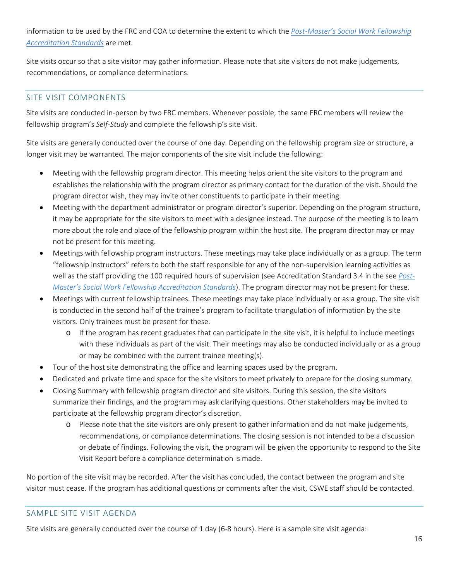information to be used by the FRC and COA to determine the extent to which the *[Post-Master's Social Work Fellowship](https://www.cswe.org/accreditation/post-master-s-social-work-fellowship-accreditation-180760e5e7cfc1166d9603bd07104639/)  [Accreditation Standards](https://www.cswe.org/accreditation/post-master-s-social-work-fellowship-accreditation-180760e5e7cfc1166d9603bd07104639/)* are met.

Site visits occur so that a site visitor may gather information. Please note that site visitors do not make judgements, recommendations, or compliance determinations.

#### <span id="page-15-0"></span>SITE VISIT COMPONENTS

Site visits are conducted in-person by two FRC members. Whenever possible, the same FRC members will review the fellowship program's *Self-Study* and complete the fellowship's site visit.

Site visits are generally conducted over the course of one day. Depending on the fellowship program size or structure, a longer visit may be warranted. The major components of the site visit include the following:

- Meeting with the fellowship program director. This meeting helps orient the site visitors to the program and establishes the relationship with the program director as primary contact for the duration of the visit. Should the program director wish, they may invite other constituents to participate in their meeting.
- Meeting with the department administrator or program director's superior. Depending on the program structure, it may be appropriate for the site visitors to meet with a designee instead. The purpose of the meeting is to learn more about the role and place of the fellowship program within the host site. The program director may or may not be present for this meeting.
- Meetings with fellowship program instructors. These meetings may take place individually or as a group. The term "fellowship instructors" refers to both the staff responsible for any of the non-supervision learning activities as well as the staff providing the 100 required hours of supervision (see Accreditation Standard 3.4 in the see *[Post-](https://www.cswe.org/accreditation/post-master-s-social-work-fellowship-accreditation-180760e5e7cfc1166d9603bd07104639/)[Master's Social Work Fellowship Accreditation Standards](https://www.cswe.org/accreditation/post-master-s-social-work-fellowship-accreditation-180760e5e7cfc1166d9603bd07104639/)*). The program director may not be present for these.
- Meetings with current fellowship trainees. These meetings may take place individually or as a group. The site visit is conducted in the second half of the trainee's program to facilitate triangulation of information by the site visitors. Only trainees must be present for these.
	- o If the program has recent graduates that can participate in the site visit, it is helpful to include meetings with these individuals as part of the visit. Their meetings may also be conducted individually or as a group or may be combined with the current trainee meeting(s).
- Tour of the host site demonstrating the office and learning spaces used by the program.
- Dedicated and private time and space for the site visitors to meet privately to prepare for the closing summary.
- Closing Summary with fellowship program director and site visitors. During this session, the site visitors summarize their findings, and the program may ask clarifying questions. Other stakeholders may be invited to participate at the fellowship program director's discretion.
	- o Please note that the site visitors are only present to gather information and do not make judgements, recommendations, or compliance determinations. The closing session is not intended to be a discussion or debate of findings. Following the visit, the program will be given the opportunity to respond to the Site Visit Report before a compliance determination is made.

No portion of the site visit may be recorded. After the visit has concluded, the contact between the program and site visitor must cease. If the program has additional questions or comments after the visit, CSWE staff should be contacted.

#### <span id="page-15-1"></span>SAMPLE SITE VISIT AGENDA

Site visits are generally conducted over the course of 1 day (6-8 hours). Here is a sample site visit agenda: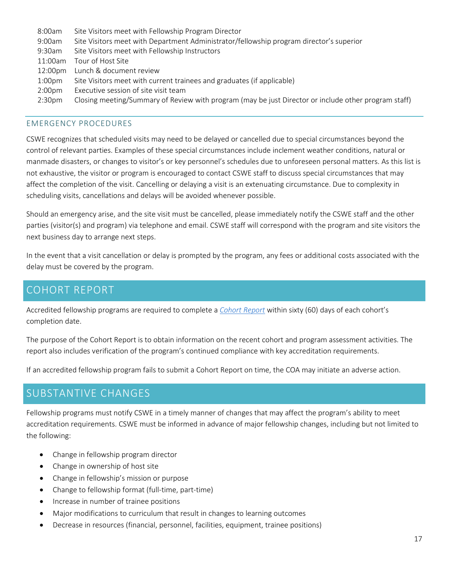| 8:00am             | Site Visitors meet with Fellowship Program Director                                                  |
|--------------------|------------------------------------------------------------------------------------------------------|
| 9:00am             | Site Visitors meet with Department Administrator/fellowship program director's superior              |
| $9:30$ am          | Site Visitors meet with Fellowship Instructors                                                       |
| 11:00am            | Tour of Host Site                                                                                    |
| 12:00pm            | Lunch & document review                                                                              |
| 1:00 <sub>pm</sub> | Site Visitors meet with current trainees and graduates (if applicable)                               |
| 2:00 <sub>pm</sub> | Executive session of site visit team                                                                 |
| 2:30 <sub>pm</sub> | Closing meeting/Summary of Review with program (may be just Director or include other program staff) |

#### <span id="page-16-0"></span>EMERGENCY PROCEDURES

CSWE recognizes that scheduled visits may need to be delayed or cancelled due to special circumstances beyond the control of relevant parties. Examples of these special circumstances include inclement weather conditions, natural or manmade disasters, or changes to visitor's or key personnel's schedules due to unforeseen personal matters. As this list is not exhaustive, the visitor or program is encouraged to contact CSWE staff to discuss special circumstances that may affect the completion of the visit. Cancelling or delaying a visit is an extenuating circumstance. Due to complexity in scheduling visits, cancellations and delays will be avoided whenever possible.

Should an emergency arise, and the site visit must be cancelled, please immediately notify the CSWE staff and the other parties (visitor(s) and program) via telephone and email. CSWE staff will correspond with the program and site visitors the next business day to arrange next steps.

In the event that a visit cancellation or delay is prompted by the program, any fees or additional costs associated with the delay must be covered by the program.

### <span id="page-16-1"></span>COHORT REPORT

Accredited fellowship programs are required to complete a *[Cohort Report](https://www.cswe.org/accreditation/post-master-s-social-work-fellowship-accreditation-180760e5e7cfc1166d9603bd07104639/)* within sixty (60) days of each cohort's completion date.

The purpose of the Cohort Report is to obtain information on the recent cohort and program assessment activities. The report also includes verification of the program's continued compliance with key accreditation requirements.

If an accredited fellowship program fails to submit a Cohort Report on time, the COA may initiate an adverse action.

### <span id="page-16-2"></span>SUBSTANTIVE CHANGES

Fellowship programs must notify CSWE in a timely manner of changes that may affect the program's ability to meet accreditation requirements. CSWE must be informed in advance of major fellowship changes, including but not limited to the following:

- Change in fellowship program director
- Change in ownership of host site
- Change in fellowship's mission or purpose
- Change to fellowship format (full-time, part-time)
- Increase in number of trainee positions
- Major modifications to curriculum that result in changes to learning outcomes
- Decrease in resources (financial, personnel, facilities, equipment, trainee positions)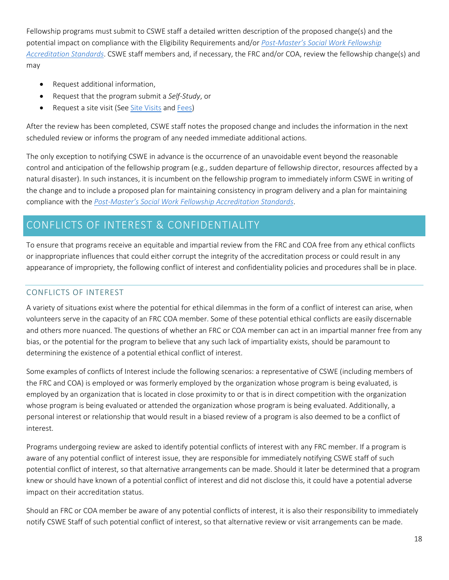Fellowship programs must submit to CSWE staff a detailed written description of the proposed change(s) and the potential impact on compliance with the Eligibility Requirements and/or *[Post-Master's Social Work Fellowship](https://www.cswe.org/accreditation/post-master-s-social-work-fellowship-accreditation-180760e5e7cfc1166d9603bd07104639/)  [Accreditation Standards](https://www.cswe.org/accreditation/post-master-s-social-work-fellowship-accreditation-180760e5e7cfc1166d9603bd07104639/)*. CSWE staff members and, if necessary, the FRC and/or COA, review the fellowship change(s) and may

- Request additional information,
- Request that the program submit a *Self-Study*, or
- Request a site visit (See [Site Visits](#page-14-5) an[d Fees\)](#page-13-2)

After the review has been completed, CSWE staff notes the proposed change and includes the information in the next scheduled review or informs the program of any needed immediate additional actions.

The only exception to notifying CSWE in advance is the occurrence of an unavoidable event beyond the reasonable control and anticipation of the fellowship program (e.g., sudden departure of fellowship director, resources affected by a natural disaster). In such instances, it is incumbent on the fellowship program to immediately inform CSWE in writing of the change and to include a proposed plan for maintaining consistency in program delivery and a plan for maintaining compliance with the *[Post-Master's Social Work Fellowship Accreditation Standards](https://www.cswe.org/accreditation/post-master-s-social-work-fellowship-accreditation-180760e5e7cfc1166d9603bd07104639/)*.

## <span id="page-17-0"></span>CONFLICTS OF INTEREST & CONFIDENTIALITY

To ensure that programs receive an equitable and impartial review from the FRC and COA free from any ethical conflicts or inappropriate influences that could either corrupt the integrity of the accreditation process or could result in any appearance of impropriety, the following conflict of interest and confidentiality policies and procedures shall be in place.

#### <span id="page-17-1"></span>CONFLICTS OF INTEREST

A variety of situations exist where the potential for ethical dilemmas in the form of a conflict of interest can arise, when volunteers serve in the capacity of an FRC COA member. Some of these potential ethical conflicts are easily discernable and others more nuanced. The questions of whether an FRC or COA member can act in an impartial manner free from any bias, or the potential for the program to believe that any such lack of impartiality exists, should be paramount to determining the existence of a potential ethical conflict of interest.

Some examples of conflicts of Interest include the following scenarios: a representative of CSWE (including members of the FRC and COA) is employed or was formerly employed by the organization whose program is being evaluated, is employed by an organization that is located in close proximity to or that is in direct competition with the organization whose program is being evaluated or attended the organization whose program is being evaluated. Additionally, a personal interest or relationship that would result in a biased review of a program is also deemed to be a conflict of interest.

Programs undergoing review are asked to identify potential conflicts of interest with any FRC member. If a program is aware of any potential conflict of interest issue, they are responsible for immediately notifying CSWE staff of such potential conflict of interest, so that alternative arrangements can be made. Should it later be determined that a program knew or should have known of a potential conflict of interest and did not disclose this, it could have a potential adverse impact on their accreditation status.

Should an FRC or COA member be aware of any potential conflicts of interest, it is also their responsibility to immediately notify CSWE Staff of such potential conflict of interest, so that alternative review or visit arrangements can be made.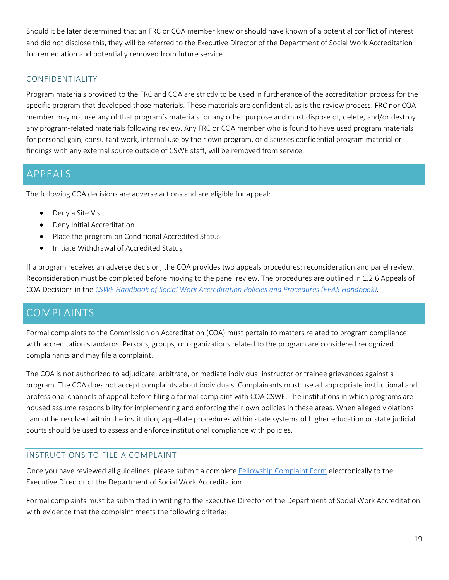Should it be later determined that an FRC or COA member knew or should have known of a potential conflict of interest and did not disclose this, they will be referred to the Executive Director of the Department of Social Work Accreditation for remediation and potentially removed from future service.

#### <span id="page-18-0"></span>CONFIDENTIALITY

Program materials provided to the FRC and COA are strictly to be used in furtherance of the accreditation process for the specific program that developed those materials. These materials are confidential, as is the review process. FRC nor COA member may not use any of that program's materials for any other purpose and must dispose of, delete, and/or destroy any program-related materials following review. Any FRC or COA member who is found to have used program materials for personal gain, consultant work, internal use by their own program, or discusses confidential program material or findings with any external source outside of CSWE staff, will be removed from service.

### <span id="page-18-1"></span>APPEALS

The following COA decisions are adverse actions and are eligible for appeal:

- Deny a Site Visit
- Deny Initial Accreditation
- Place the program on Conditional Accredited Status
- Initiate Withdrawal of Accredited Status

If a program receives an adverse decision, the COA provides two appeals procedures: reconsideration and panel review. Reconsideration must be completed before moving to the panel review. The procedures are outlined in 1.2.6 Appeals of COA Decisions in the *[CSWE Handbook of Social Work Accreditation Policies and Procedures](https://www.cswe.org/accreditation/standards/epas-handbook/) (EPAS Handbook).*

### <span id="page-18-2"></span>**COMPLAINTS**

Formal complaints to the Commission on Accreditation (COA) must pertain to matters related to program compliance with accreditation standards. Persons, groups, or organizations related to the program are considered recognized complainants and may file a complaint.

The COA is not authorized to adjudicate, arbitrate, or mediate individual instructor or trainee grievances against a program. The COA does not accept complaints about individuals. Complainants must use all appropriate institutional and professional channels of appeal before filing a formal complaint with COA CSWE. The institutions in which programs are housed assume responsibility for implementing and enforcing their own policies in these areas. When alleged violations cannot be resolved within the institution, appellate procedures within state systems of higher education or state judicial courts should be used to assess and enforce institutional compliance with policies.

#### <span id="page-18-3"></span>INSTRUCTIONS TO FILE A COMPLAINT

Once you have reviewed all guidelines, please submit a complete [Fellowship Complaint Form](https://www.cswe.org/accreditation/post-master-s-social-work-fellowship-accreditation-180760e5e7cfc1166d9603bd07104639/) electronically to the Executive Director of the Department of Social Work Accreditation.

Formal complaints must be submitted in writing to the Executive Director of the Department of Social Work Accreditation with evidence that the complaint meets the following criteria: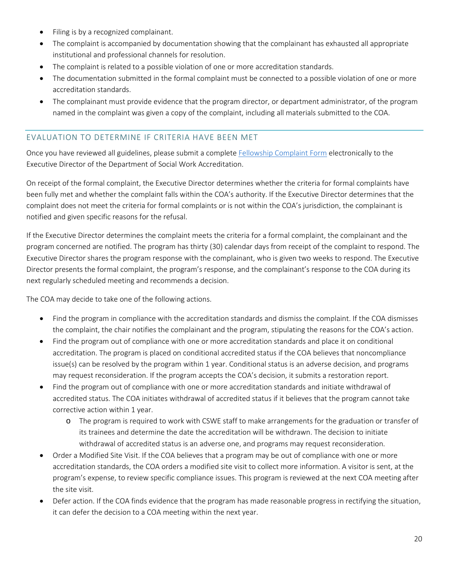- Filing is by a recognized complainant.
- The complaint is accompanied by documentation showing that the complainant has exhausted all appropriate institutional and professional channels for resolution.
- The complaint is related to a possible violation of one or more accreditation standards.
- The documentation submitted in the formal complaint must be connected to a possible violation of one or more accreditation standards.
- The complainant must provide evidence that the program director, or department administrator, of the program named in the complaint was given a copy of the complaint, including all materials submitted to the COA.

#### <span id="page-19-0"></span>EVALUATION TO DETERMINE IF CRITERIA HAVE BEEN MET

Once you have reviewed all guidelines, please submit a complete [Fellowship Complaint Form](https://www.cswe.org/accreditation/post-master-s-social-work-fellowship-accreditation-180760e5e7cfc1166d9603bd07104639/) electronically to the Executive Director of the Department of Social Work Accreditation.

On receipt of the formal complaint, the Executive Director determines whether the criteria for formal complaints have been fully met and whether the complaint falls within the COA's authority. If the Executive Director determines that the complaint does not meet the criteria for formal complaints or is not within the COA's jurisdiction, the complainant is notified and given specific reasons for the refusal.

If the Executive Director determines the complaint meets the criteria for a formal complaint, the complainant and the program concerned are notified. The program has thirty (30) calendar days from receipt of the complaint to respond. The Executive Director shares the program response with the complainant, who is given two weeks to respond. The Executive Director presents the formal complaint, the program's response, and the complainant's response to the COA during its next regularly scheduled meeting and recommends a decision.

The COA may decide to take one of the following actions.

- Find the program in compliance with the accreditation standards and dismiss the complaint. If the COA dismisses the complaint, the chair notifies the complainant and the program, stipulating the reasons for the COA's action.
- Find the program out of compliance with one or more accreditation standards and place it on conditional accreditation. The program is placed on conditional accredited status if the COA believes that noncompliance issue(s) can be resolved by the program within 1 year. Conditional status is an adverse decision, and programs may request reconsideration. If the program accepts the COA's decision, it submits a restoration report.
- Find the program out of compliance with one or more accreditation standards and initiate withdrawal of accredited status. The COA initiates withdrawal of accredited status if it believes that the program cannot take corrective action within 1 year.
	- o The program is required to work with CSWE staff to make arrangements for the graduation or transfer of its trainees and determine the date the accreditation will be withdrawn. The decision to initiate withdrawal of accredited status is an adverse one, and programs may request reconsideration.
- Order a Modified Site Visit. If the COA believes that a program may be out of compliance with one or more accreditation standards, the COA orders a modified site visit to collect more information. A visitor is sent, at the program's expense, to review specific compliance issues. This program is reviewed at the next COA meeting after the site visit.
- Defer action. If the COA finds evidence that the program has made reasonable progress in rectifying the situation, it can defer the decision to a COA meeting within the next year.